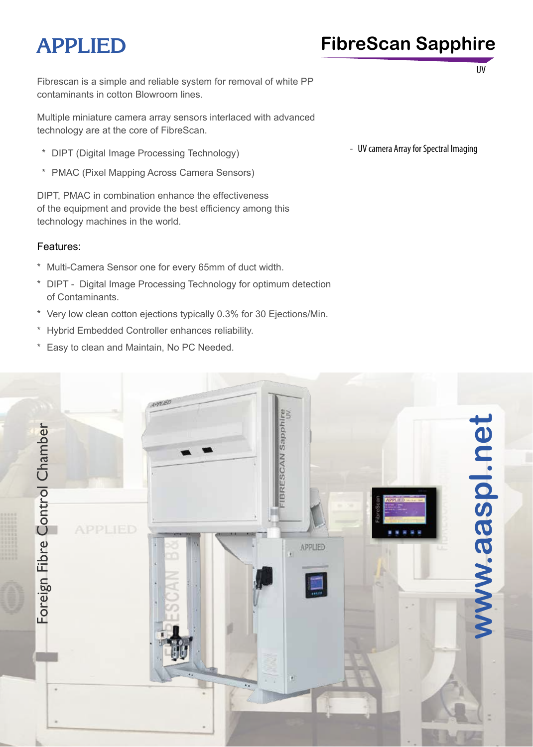# **APPLIED FibreScan Sapphire**

UV

Fibrescan is a simple and reliable system for removal of white PP contaminants in cotton Blowroom lines.

Multiple miniature camera array sensors interlaced with advanced technology are at the core of FibreScan.

- \* DIPT (Digital Image Processing Technology)
- \* PMAC (Pixel Mapping Across Camera Sensors)

DIPT, PMAC in combination enhance the effectiveness of the equipment and provide the best efficiency among this technology machines in the world.

#### Features:

- \* Multi-Camera Sensor one for every 65mm of duct width.
- \* DIPT Digital Image Processing Technology for optimum detection of Contaminants.
- \* Very low clean cotton ejections typically 0.3% for 30 Ejections/Min.
- \* Hybrid Embedded Controller enhances reliability.
- \* Easy to clean and Maintain, No PC Needed.

- UV camera Array for Spectral Imaging